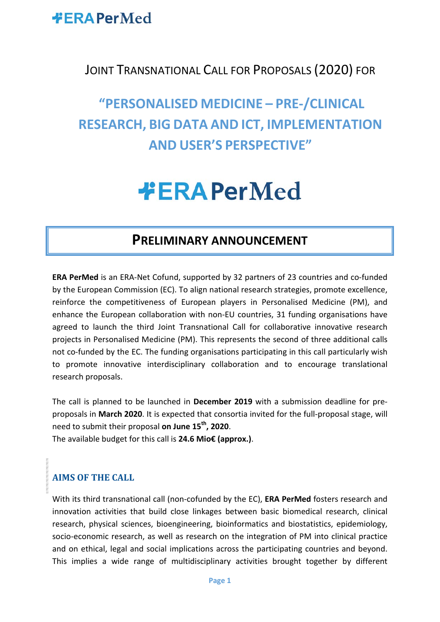

#### JOINT TRANSNATIONAL CALL FOR PROPOSALS (2020) FOR

## **"PERSONALISED MEDICINE – PRE-/CLINICAL RESEARCH, BIG DATA AND ICT, IMPLEMENTATION AND USER'S PERSPECTIVE"**

# **#ERAPerMed**

### **PRELIMINARY ANNOUNCEMENT**

**ERA PerMed** is an ERA-Net Cofund, supported by 32 partners of 23 countries and co-funded by the European Commission (EC). To align national research strategies, promote excellence, reinforce the competitiveness of European players in Personalised Medicine (PM), and enhance the European collaboration with non-EU countries, 31 funding organisations have agreed to launch the third Joint Transnational Call for collaborative innovative research projects in Personalised Medicine (PM). This represents the second of three additional calls not co-funded by the EC. The funding organisations participating in this call particularly wish to promote innovative interdisciplinary collaboration and to encourage translational research proposals.

The call is planned to be launched in **December 2019** with a submission deadline for preproposals in **March 2020**. It is expected that consortia invited for the full-proposal stage, will need to submit their proposal **on June 15th, 2020**.

The available budget for this call is **24.6 Mio€ (approx.)**.

#### **AIMS OF THE CALL**

With its third transnational call (non-cofunded by the EC), **ERA PerMed** fosters research and innovation activities that build close linkages between basic biomedical research, clinical research, physical sciences, bioengineering, bioinformatics and biostatistics, epidemiology, socio-economic research, as well as research on the integration of PM into clinical practice and on ethical, legal and social implications across the participating countries and beyond. This implies a wide range of multidisciplinary activities brought together by different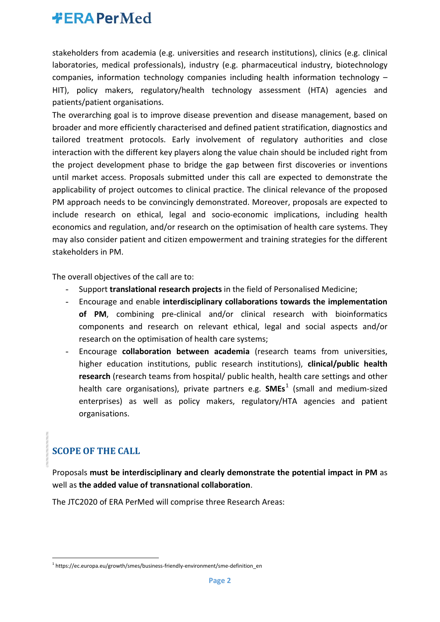stakeholders from academia (e.g. universities and research institutions), clinics (e.g. clinical laboratories, medical professionals), industry (e.g. pharmaceutical industry, biotechnology companies, information technology companies including health information technology – HIT), policy makers, regulatory/health technology assessment (HTA) agencies and patients/patient organisations.

The overarching goal is to improve disease prevention and disease management, based on broader and more efficiently characterised and defined patient stratification, diagnostics and tailored treatment protocols. Early involvement of regulatory authorities and close interaction with the different key players along the value chain should be included right from the project development phase to bridge the gap between first discoveries or inventions until market access. Proposals submitted under this call are expected to demonstrate the applicability of project outcomes to clinical practice. The clinical relevance of the proposed PM approach needs to be convincingly demonstrated. Moreover, proposals are expected to include research on ethical, legal and socio-economic implications, including health economics and regulation, and/or research on the optimisation of health care systems. They may also consider patient and citizen empowerment and training strategies for the different stakeholders in PM.

The overall objectives of the call are to:

- Support **translational research projects** in the field of Personalised Medicine;
- Encourage and enable **interdisciplinary collaborations towards the implementation**  of PM, combining pre-clinical and/or clinical research with bioinformatics components and research on relevant ethical, legal and social aspects and/or research on the optimisation of health care systems;
- Encourage **collaboration between academia** (research teams from universities, higher education institutions, public research institutions), **clinical/public health research** (research teams from hospital/ public health, health care settings and other health care organisations), private partners e.g. **SMEs**[1](#page-1-0) (small and medium-sized enterprises) as well as policy makers, regulatory/HTA agencies and patient organisations.

#### **SCOPE OF THE CALL**

Proposals **must be interdisciplinary and clearly demonstrate the potential impact in PM** as well as **the added value of transnational collaboration**.

The JTC2020 of ERA PerMed will comprise three Research Areas:

<span id="page-1-0"></span><sup>&</sup>lt;sup>1</sup> https://ec.europa.eu/growth/smes/business-friendly-environment/sme-definition\_en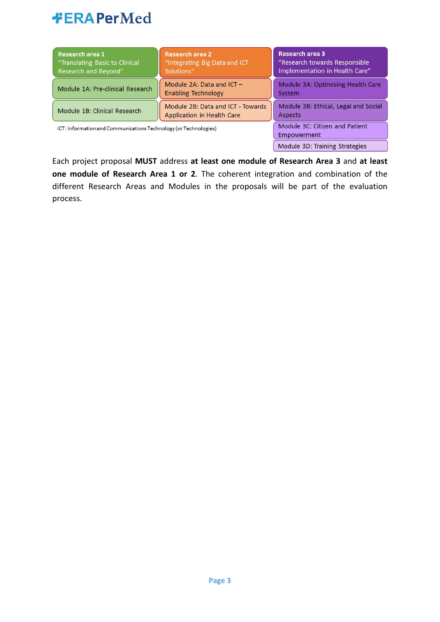| Research area 1<br>"Translating Basic to Clinical<br>Research and Beyond" | <b>Research area 2</b><br>"Integrating Big Data and ICT<br>Solutions" | Research area 3<br>"Research towards Responsible<br>Implementation in Health Care" |
|---------------------------------------------------------------------------|-----------------------------------------------------------------------|------------------------------------------------------------------------------------|
| Module 1A: Pre-clinical Research                                          | Module 2A: Data and $ICT -$<br><b>Enabling Technology</b>             | Module 3A: Optimising Health Care<br>System                                        |
| Module 1B: Clinical Research                                              | Module 2B: Data and ICT - Towards<br>Application in Health Care       | Module 3B: Ethical, Legal and Social<br><b>Aspects</b>                             |
| ICT: Information and Communications Technology (or Technologies)          | Module 3C: Citizen and Patient<br>Empowerment                         |                                                                                    |
|                                                                           |                                                                       | Module 3D: Training Strategies                                                     |

Each project proposal **MUST** address **at least one module of Research Area 3** and **at least one module of Research Area 1 or 2**. The coherent integration and combination of the different Research Areas and Modules in the proposals will be part of the evaluation process.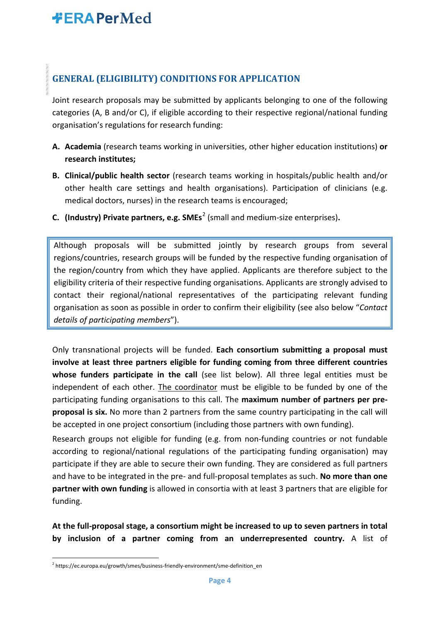#### **GENERAL (ELIGIBILITY) CONDITIONS FOR APPLICATION**

Joint research proposals may be submitted by applicants belonging to one of the following categories (A, B and/or C), if eligible according to their respective regional/national funding organisation's regulations for research funding:

- **A. Academia** (research teams working in universities, other higher education institutions) **or research institutes;**
- **B. Clinical/public health sector** (research teams working in hospitals/public health and/or other health care settings and health organisations). Participation of clinicians (e.g. medical doctors, nurses) in the research teams is encouraged;
- **C. (Industry) Private partners, e.g. SMEs**[2](#page-3-0) (small and medium-size enterprises)**.**

Although proposals will be submitted jointly by research groups from several regions/countries, research groups will be funded by the respective funding organisation of the region/country from which they have applied. Applicants are therefore subject to the eligibility criteria of their respective funding organisations. Applicants are strongly advised to contact their regional/national representatives of the participating relevant funding organisation as soon as possible in order to confirm their eligibility (see also below "*Contact details of participating members*").

Only transnational projects will be funded. **Each consortium submitting a proposal must involve at least three partners eligible for funding coming from three different countries whose funders participate in the call** (see list below). All three legal entities must be independent of each other. The coordinator must be eligible to be funded by one of the participating funding organisations to this call. The **maximum number of partners per preproposal is six.** No more than 2 partners from the same country participating in the call will be accepted in one project consortium (including those partners with own funding).

Research groups not eligible for funding (e.g. from non-funding countries or not fundable according to regional/national regulations of the participating funding organisation) may participate if they are able to secure their own funding. They are considered as full partners and have to be integrated in the pre- and full-proposal templates as such. **No more than one partner with own funding** is allowed in consortia with at least 3 partners that are eligible for funding.

**At the full-proposal stage, a consortium might be increased to up to seven partners in total by inclusion of a partner coming from an underrepresented country.** A list of

<span id="page-3-0"></span><sup>&</sup>lt;sup>2</sup> https://ec.europa.eu/growth/smes/business-friendly-environment/sme-definition\_en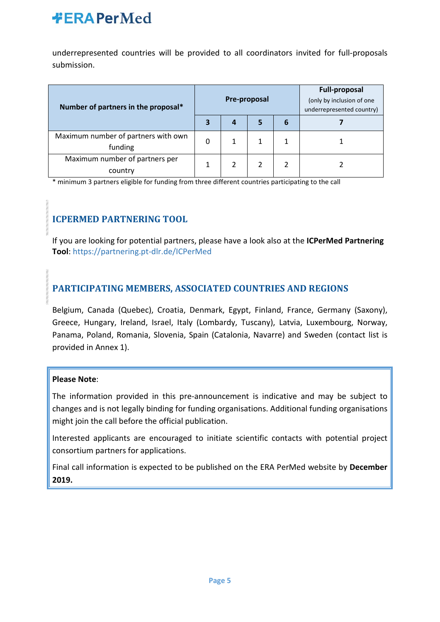underrepresented countries will be provided to all coordinators invited for full-proposals submission.

| Number of partners in the proposal*            |   | Pre-proposal |  | <b>Full-proposal</b><br>(only by inclusion of one<br>underrepresented country) |  |
|------------------------------------------------|---|--------------|--|--------------------------------------------------------------------------------|--|
|                                                |   | 4            |  | 6                                                                              |  |
| Maximum number of partners with own<br>funding | 0 |              |  |                                                                                |  |
| Maximum number of partners per<br>country      |   |              |  |                                                                                |  |

\* minimum 3 partners eligible for funding from three different countries participating to the call

#### **ICPERMED PARTNERING TOOL**

If you are looking for potential partners, please have a look also at the **ICPerMed Partnering Tool**:<https://partnering.pt-dlr.de/ICPerMed>

#### **PARTICIPATING MEMBERS, ASSOCIATED COUNTRIES AND REGIONS**

Belgium, Canada (Quebec), Croatia, Denmark, Egypt, Finland, France, Germany (Saxony), Greece, Hungary, Ireland, Israel, Italy (Lombardy, Tuscany), Latvia, Luxembourg, Norway, Panama, Poland, Romania, Slovenia, Spain (Catalonia, Navarre) and Sweden (contact list is provided in Annex 1).

#### **Please Note**:

The information provided in this pre-announcement is indicative and may be subject to changes and is not legally binding for funding organisations. Additional funding organisations might join the call before the official publication.

Interested applicants are encouraged to initiate scientific contacts with potential project consortium partners for applications.

Final call information is expected to be published on the ERA PerMed website by **December 2019.**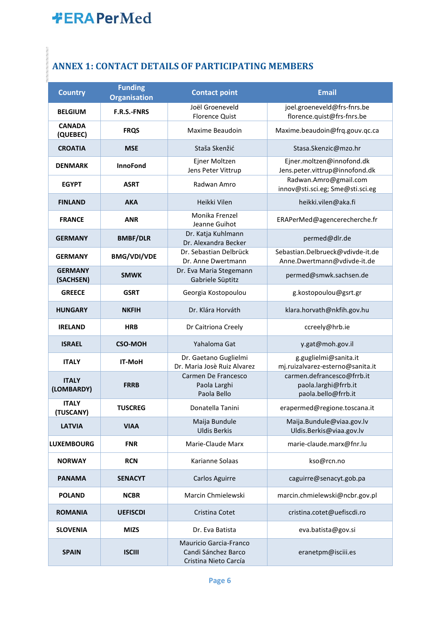### **ANNEX 1: CONTACT DETAILS OF PARTICIPATING MEMBERS**

| <b>Country</b>              | <b>Funding</b><br><b>Organisation</b> | <b>Contact point</b>                                                   | <b>Email</b>                                                              |  |
|-----------------------------|---------------------------------------|------------------------------------------------------------------------|---------------------------------------------------------------------------|--|
| <b>BELGIUM</b>              | <b>F.R.S.-FNRS</b>                    | Joël Groeneveld<br><b>Florence Quist</b>                               | joel.groeneveld@frs-fnrs.be<br>florence.quist@frs-fnrs.be                 |  |
| <b>CANADA</b><br>(QUEBEC)   | <b>FRQS</b>                           | Maxime Beaudoin                                                        | Maxime.beaudoin@frq.gouv.qc.ca                                            |  |
| <b>CROATIA</b>              | <b>MSE</b>                            | Staša Skenžić                                                          | Stasa.Skenzic@mzo.hr                                                      |  |
| <b>DENMARK</b>              | <b>InnoFond</b>                       | Ejner Moltzen<br>Jens Peter Vittrup                                    | Ejner.moltzen@innofond.dk<br>Jens.peter.vittrup@innofond.dk               |  |
| <b>EGYPT</b>                | <b>ASRT</b>                           | Radwan Amro                                                            | Radwan.Amro@gmail.com<br>innov@sti.sci.eg; Sme@sti.sci.eg                 |  |
| <b>FINLAND</b>              | <b>AKA</b>                            | Heikki Vilen                                                           | heikki.vilen@aka.fi                                                       |  |
| <b>FRANCE</b>               | <b>ANR</b>                            | Monika Frenzel<br>Jeanne Guihot                                        | ERAPerMed@agencerecherche.fr                                              |  |
| <b>GERMANY</b>              | <b>BMBF/DLR</b>                       | Dr. Katja Kuhlmann<br>Dr. Alexandra Becker                             | permed@dlr.de                                                             |  |
| <b>GERMANY</b>              | <b>BMG/VDI/VDE</b>                    | Dr. Sebastian Delbrück<br>Dr. Anne Dwertmann                           | Sebastian.Delbrueck@vdivde-it.de<br>Anne.Dwertmann@vdivde-it.de           |  |
| <b>GERMANY</b><br>(SACHSEN) | <b>SMWK</b>                           | Dr. Eva Maria Stegemann<br>Gabriele Süptitz                            | permed@smwk.sachsen.de                                                    |  |
| <b>GREECE</b>               | <b>GSRT</b>                           | Georgia Kostopoulou                                                    | g.kostopoulou@gsrt.gr                                                     |  |
| <b>HUNGARY</b>              | <b>NKFIH</b>                          | Dr. Klára Horváth                                                      | klara.horvath@nkfih.gov.hu                                                |  |
| <b>IRELAND</b>              | <b>HRB</b>                            | Dr Caitriona Creely                                                    | ccreely@hrb.ie                                                            |  |
| <b>ISRAEL</b>               | <b>CSO-MOH</b>                        | Yahaloma Gat                                                           | y.gat@moh.gov.il                                                          |  |
| <b>ITALY</b>                | <b>IT-MoH</b>                         | Dr. Gaetano Guglielmi<br>Dr. Maria Josè Ruiz Alvarez                   | g.guglielmi@sanita.it<br>mj.ruizalvarez-esterno@sanita.it                 |  |
| <b>ITALY</b><br>(LOMBARDY)  | <b>FRRB</b>                           | Carmen De Francesco<br>Paola Larghi<br>Paola Bello                     | carmen.defrancesco@frrb.it<br>paola.larghi@frrb.it<br>paola.bello@frrb.it |  |
| <b>ITALY</b><br>(TUSCANY)   | <b>TUSCREG</b>                        | Donatella Tanini                                                       | erapermed@regione.toscana.it                                              |  |
| <b>LATVIA</b>               | <b>VIAA</b>                           | Maija Bundule<br><b>Uldis Berkis</b>                                   | Maija.Bundule@viaa.gov.lv<br>Uldis.Berkis@viaa.gov.lv                     |  |
| <b>LUXEMBOURG</b>           | <b>FNR</b>                            | Marie-Claude Marx                                                      | marie-claude.marx@fnr.lu                                                  |  |
| <b>NORWAY</b>               | <b>RCN</b>                            | Karianne Solaas                                                        | kso@rcn.no                                                                |  |
| <b>PANAMA</b>               | <b>SENACYT</b>                        | <b>Carlos Aguirre</b>                                                  | caguirre@senacyt.gob.pa                                                   |  |
| <b>POLAND</b>               | <b>NCBR</b>                           | Marcin Chmielewski                                                     | marcin.chmielewski@ncbr.gov.pl                                            |  |
| <b>ROMANIA</b>              | <b>UEFISCDI</b>                       | Cristina Cotet                                                         | cristina.cotet@uefiscdi.ro                                                |  |
| <b>SLOVENIA</b>             | <b>MIZS</b>                           | Dr. Eva Batista                                                        | eva.batista@gov.si                                                        |  |
| <b>SPAIN</b>                | <b>ISCIII</b>                         | Mauricio Garcia-Franco<br>Candi Sánchez Barco<br>Cristina Nieto Carcía | eranetpm@isciii.es                                                        |  |